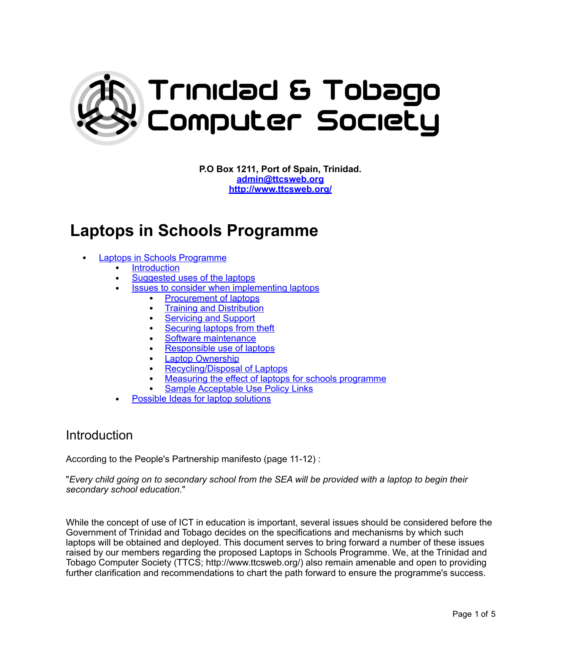

**P.O Box 1211, Port of Spain, Trinidad. [admin@ttcsweb.org](mailto:admin@ttcsweb.org) [http://www.ttcsweb.org/](http://ttcsweb.org/)**

# **Laptops in Schools Programme**

- Laptops in Schools Programme
	- **[Introduction](#page-0-0)**
	- [Suggested uses of the laptops](#page-1-0)
	- [Issues to consider when implementing laptops](#page-1-1)
		- [Procurement of laptops](#page-1-2)
		- [Training and Distribution](#page-2-0)
		- **[Servicing and Support](#page-2-1)**
		- [Securing laptops from theft](#page-2-2)
		- [Software maintenance](#page-3-0)
		- [Responsible use of laptops](#page-3-1)
		- **Laptop Ownership**
		- [Recycling/Disposal of Laptops](#page-3-2)
		- [Measuring the effect of laptops for schools programme](#page-4-0)
		- Sample Acceptable Use Policy Links
	- [Possible Ideas for laptop solutions](#page-4-1)

#### <span id="page-0-0"></span>Introduction

According to the People's Partnership manifesto (page 11-12) :

"*Every child going on to secondary school from the SEA will be provided with a laptop to begin their secondary school education*."

While the concept of use of ICT in education is important, several issues should be considered before the Government of Trinidad and Tobago decides on the specifications and mechanisms by which such laptops will be obtained and deployed. This document serves to bring forward a number of these issues raised by our members regarding the proposed Laptops in Schools Programme. We, at the Trinidad and Tobago Computer Society (TTCS; http://www.ttcsweb.org/) also remain amenable and open to providing further clarification and recommendations to chart the path forward to ensure the programme's success.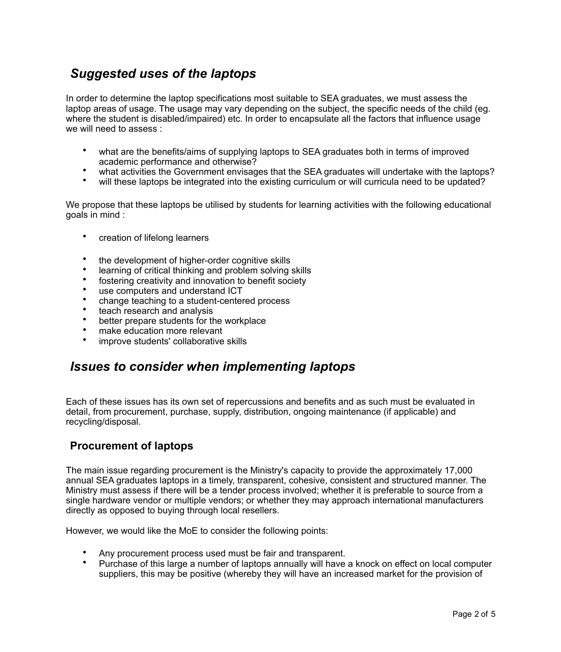# <span id="page-1-0"></span>*Suggested uses of the laptops*

In order to determine the laptop specifications most suitable to SEA graduates, we must assess the laptop areas of usage. The usage may vary depending on the subject, the specific needs of the child (eg. where the student is disabled/impaired) etc. In order to encapsulate all the factors that influence usage we will need to assess :

- what are the benefits/aims of supplying laptops to SEA graduates both in terms of improved academic performance and otherwise?
- what activities the Government envisages that the SEA graduates will undertake with the laptops?
- will these laptops be integrated into the existing curriculum or will curricula need to be updated?

We propose that these laptops be utilised by students for learning activities with the following educational goals in mind :

- creation of lifelong learners
- the development of higher-order cognitive skills
- learning of critical thinking and problem solving skills
- fostering creativity and innovation to benefit society
- use computers and understand ICT
- change teaching to a student-centered process
- teach research and analysis
- better prepare students for the workplace
- make education more relevant
- improve students' collaborative skills

### <span id="page-1-1"></span>*Issues to consider when implementing laptops*

Each of these issues has its own set of repercussions and benefits and as such must be evaluated in detail, from procurement, purchase, supply, distribution, ongoing maintenance (if applicable) and recycling/disposal.

#### <span id="page-1-2"></span>**Procurement of laptops**

The main issue regarding procurement is the Ministry's capacity to provide the approximately 17,000 annual SEA graduates laptops in a timely, transparent, cohesive, consistent and structured manner. The Ministry must assess if there will be a tender process involved; whether it is preferable to source from a single hardware vendor or multiple vendors; or whether they may approach international manufacturers directly as opposed to buying through local resellers.

However, we would like the MoE to consider the following points:

- Any procurement process used must be fair and transparent.
- Purchase of this large a number of laptops annually will have a knock on effect on local computer suppliers, this may be positive (whereby they will have an increased market for the provision of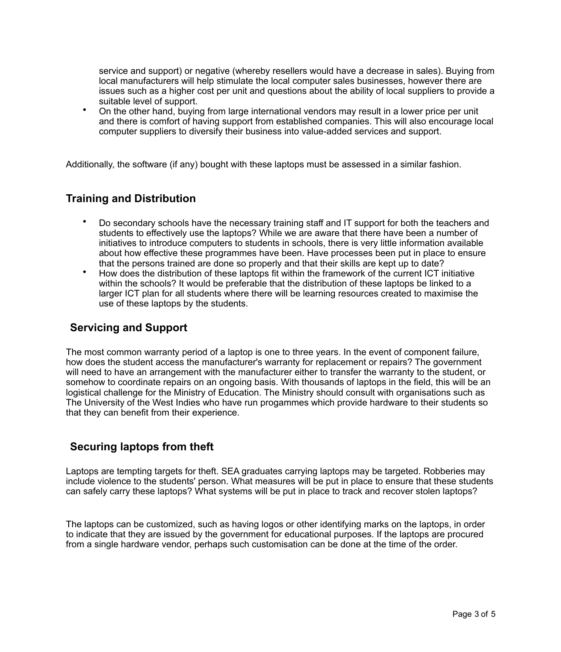service and support) or negative (whereby resellers would have a decrease in sales). Buying from local manufacturers will help stimulate the local computer sales businesses, however there are issues such as a higher cost per unit and questions about the ability of local suppliers to provide a suitable level of support.

• On the other hand, buying from large international vendors may result in a lower price per unit and there is comfort of having support from established companies. This will also encourage local computer suppliers to diversify their business into value-added services and support.

Additionally, the software (if any) bought with these laptops must be assessed in a similar fashion.

#### <span id="page-2-0"></span>**Training and Distribution**

- Do secondary schools have the necessary training staff and IT support for both the teachers and students to effectively use the laptops? While we are aware that there have been a number of initiatives to introduce computers to students in schools, there is very little information available about how effective these programmes have been. Have processes been put in place to ensure that the persons trained are done so properly and that their skills are kept up to date?
- How does the distribution of these laptops fit within the framework of the current ICT initiative within the schools? It would be preferable that the distribution of these laptops be linked to a larger ICT plan for all students where there will be learning resources created to maximise the use of these laptops by the students.

#### <span id="page-2-1"></span>**Servicing and Support**

The most common warranty period of a laptop is one to three years. In the event of component failure, how does the student access the manufacturer's warranty for replacement or repairs? The government will need to have an arrangement with the manufacturer either to transfer the warranty to the student, or somehow to coordinate repairs on an ongoing basis. With thousands of laptops in the field, this will be an logistical challenge for the Ministry of Education. The Ministry should consult with organisations such as The University of the West Indies who have run progammes which provide hardware to their students so that they can benefit from their experience.

#### <span id="page-2-2"></span>**Securing laptops from theft**

Laptops are tempting targets for theft. SEA graduates carrying laptops may be targeted. Robberies may include violence to the students' person. What measures will be put in place to ensure that these students can safely carry these laptops? What systems will be put in place to track and recover stolen laptops?

The laptops can be customized, such as having logos or other identifying marks on the laptops, in order to indicate that they are issued by the government for educational purposes. If the laptops are procured from a single hardware vendor, perhaps such customisation can be done at the time of the order.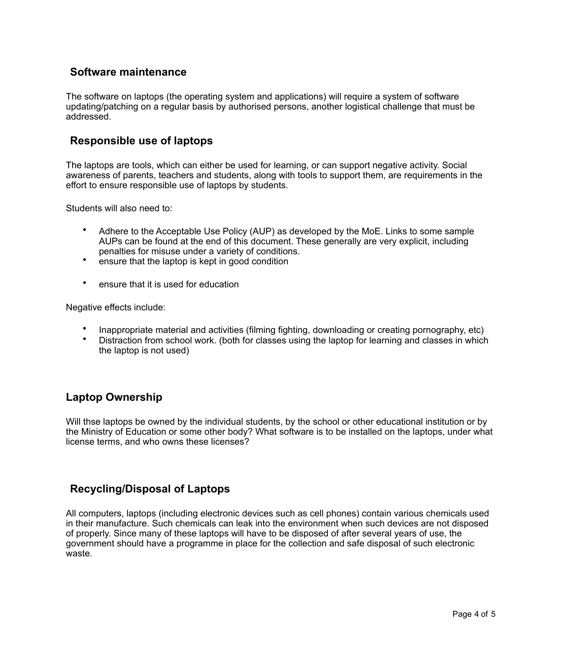#### <span id="page-3-0"></span>**Software maintenance**

The software on laptops (the operating system and applications) will require a system of software updating/patching on a regular basis by authorised persons, another logistical challenge that must be addressed.

#### <span id="page-3-1"></span>**Responsible use of laptops**

The laptops are tools, which can either be used for learning, or can support negative activity. Social awareness of parents, teachers and students, along with tools to support them, are requirements in the effort to ensure responsible use of laptops by students.

Students will also need to:

- Adhere to the Acceptable Use Policy (AUP) as developed by the MoE. Links to some sample AUPs can be found at the end of this document. These generally are very explicit, including penalties for misuse under a variety of conditions.
- ensure that the laptop is kept in good condition
- ensure that it is used for education

Negative effects include:

- Inappropriate material and activities (filming fighting, downloading or creating pornography, etc)
- Distraction from school work. (both for classes using the laptop for learning and classes in which the laptop is not used)

#### **Laptop Ownership**

Will thse laptops be owned by the individual students, by the school or other educational institution or by the Ministry of Education or some other body? What software is to be installed on the laptops, under what license terms, and who owns these licenses?

#### <span id="page-3-2"></span>**Recycling/Disposal of Laptops**

All computers, laptops (including electronic devices such as cell phones) contain various chemicals used in their manufacture. Such chemicals can leak into the environment when such devices are not disposed of properly. Since many of these laptops will have to be disposed of after several years of use, the government should have a programme in place for the collection and safe disposal of such electronic waste.